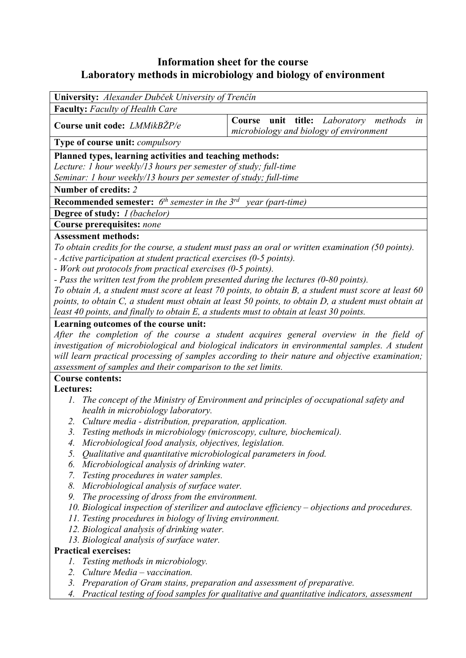# **Information sheet for the course Laboratory methods in microbiology and biology of environment**

| University: Alexander Dubček University of Trenčín                              |                                                                                                   |  |  |  |
|---------------------------------------------------------------------------------|---------------------------------------------------------------------------------------------------|--|--|--|
| <b>Faculty:</b> Faculty of Health Care                                          |                                                                                                   |  |  |  |
| Course unit code: <i>LMMikBZP/e</i>                                             | Course unit title: Laboratory methods<br>in<br>microbiology and biology of environment            |  |  |  |
| <b>Type of course unit:</b> <i>compulsory</i>                                   |                                                                                                   |  |  |  |
| Planned types, learning activities and teaching methods:                        |                                                                                                   |  |  |  |
| Lecture: 1 hour weekly/13 hours per semester of study; full-time                |                                                                                                   |  |  |  |
| Seminar: 1 hour weekly/13 hours per semester of study; full-time                |                                                                                                   |  |  |  |
| Number of credits: 2                                                            |                                                                                                   |  |  |  |
| <b>Recommended semester:</b> $6^{th}$ semester in the $3^{rd}$ year (part-time) |                                                                                                   |  |  |  |
| <b>Degree of study:</b> <i>I (bachelor)</i>                                     |                                                                                                   |  |  |  |
| Course prerequisites: none                                                      |                                                                                                   |  |  |  |
| <b>Assessment methods:</b>                                                      |                                                                                                   |  |  |  |
|                                                                                 | To obtain credits for the course, a student must pass an oral or written examination (50 points). |  |  |  |
| - Active participation at student practical exercises (0-5 points).             |                                                                                                   |  |  |  |
| - Work out protocols from practical exercises (0-5 points).                     |                                                                                                   |  |  |  |
|                                                                                 |                                                                                                   |  |  |  |

*- Pass the written test from the problem presented during the lectures (0-80 points).* 

*To obtain A, a student must score at least 70 points, to obtain B, a student must score at least 60 points, to obtain C, a student must obtain at least 50 points, to obtain D, a student must obtain at least 40 points, and finally to obtain E, a students must to obtain at least 30 points.* 

### **Learning outcomes of the course unit:**

*After the completion of the course a student acquires general overview in the field of investigation of microbiological and biological indicators in environmental samples. A student will learn practical processing of samples according to their nature and objective examination; assessment of samples and their comparison to the set limits.* 

#### **Course contents:**

### **Lectures:**

- *1. The concept of the Ministry of Environment and principles of occupational safety and health in microbiology laboratory.*
- *2. Culture media distribution, preparation, application.*
- *3. Testing methods in microbiology (microscopy, culture, biochemical).*
- *4. Microbiological food analysis, objectives, legislation.*
- *5. Qualitative and quantitative microbiological parameters in food.*
- *6. Microbiological analysis of drinking water.*
- *7. Testing procedures in water samples.*
- *8. Microbiological analysis of surface water.*
- *9. The processing of dross from the environment.*
- *10. Biological inspection of sterilizer and autoclave efficiency objections and procedures.*
- *11. Testing procedures in biology of living environment.*
- *12. Biological analysis of drinking water.*
- *13. Biological analysis of surface water.*

### **Practical exercises:**

- *1. Testing methods in microbiology.*
- *2. Culture Media vaccination.*
- *3. Preparation of Gram stains, preparation and assessment of preparative.*
- *4. Practical testing of food samples for qualitative and quantitative indicators, assessment*